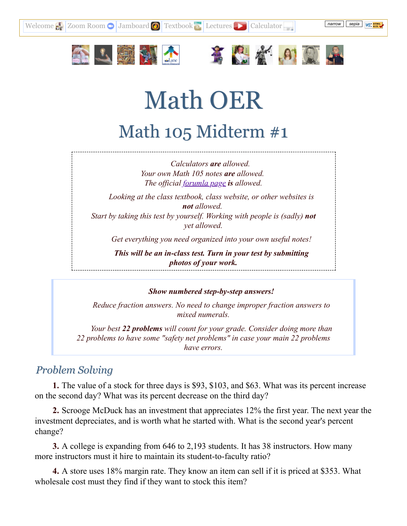



[Welcome](http://mathoer.net/)  $\bigotimes$  [Zoom Room](https://lanecc.zoom.us/my/vanslyked)  $\bigcirc$  [Jamboard](https://jamboard.google.com/d/1oG_1r8U1QGRU8pSRlVqdkJ7us-6XSL1bc9H2OSO9x3o/viewer)  $\bigcirc$  [Textbook](http://www.opentextbookstore.com/mathinsociety/2.4/MathinSociety.pdf)  $\bigcirc$  [Lectures](https://www.youtube.com/playlist?list=PL1lF62gZ_zJ5URmYeq6kIn5JhUzMBEwTL)  $\bigcirc$  Calculator





# Math OER Math 105 Midterm #1

*Calculators are allowed. Your own Math 105 notes are allowed. The of icial [forumla](http://mathoer.net/art/105formulas.png) page is allowed.*

*Looking at the class textbook, class website, or other websites is not allowed. Start by taking this test by yourself. Working with people is (sadly) not yet allowed.*

*Get everything you need organized into your own useful notes!*

*This will be an in-class test. Turn in your test by submitting photos of your work.*

*Show numbered step-by-step answers!*

*Reduce fraction answers. No need to change improper fraction answers to mixed numerals.*

*Your best 22 problems will count for your grade. Consider doing more than 22 problems to have some "safety net problems" in case your main 22 problems have errors.*

## *Problem Solving*

**1.** The value of a stock for three days is \$93, \$103, and \$63. What was its percent increase on the second day? What was its percent decrease on the third day?

**2.** Scrooge McDuck has an investment that appreciates 12% the first year. The next year the investment depreciates, and is worth what he started with. What is the second year's percent change?

**3.** A college is expanding from 646 to 2,193 students. It has 38 instructors. How many more instructors must it hire to maintain its student-to-faculty ratio?

**4.** A store uses 18% margin rate. They know an item can sell if it is priced at \$353. What wholesale cost must they find if they want to stock this item?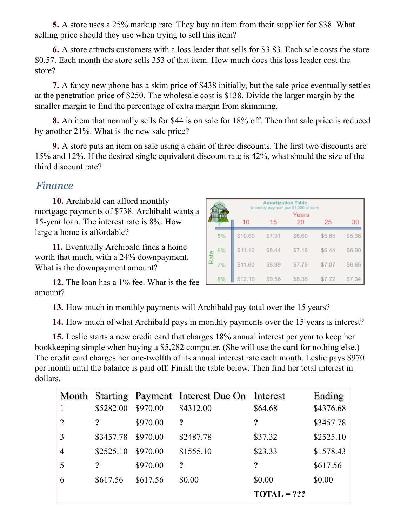**5.** A store uses a 25% markup rate. They buy an item from their supplier for \$38. What selling price should they use when trying to sell this item?

**6.** A store attracts customers with a loss leader that sells for \$3.83. Each sale costs the store \$0.57. Each month the store sells 353 of that item. How much does this loss leader cost the store?

**7.** A fancy new phone has a skim price of \$438 initially, but the sale price eventually settles at the penetration price of \$250. The wholesale cost is \$138. Divide the larger margin by the smaller margin to find the percentage of extra margin from skimming.

**8.** An item that normally sells for \$44 is on sale for 18% off. Then that sale price is reduced by another 21%. What is the new sale price?

**9.** A store puts an item on sale using a chain of three discounts. The first two discounts are 15% and 12%. If the desired single equivalent discount rate is 42%, what should the size of the third discount rate?

## *Finance*

**10.** Archibald can afford monthly mortgage payments of \$738. Archibald wants a 15-year loan. The interest rate is 8%. How large a home is affordable?

**11.** Eventually Archibald finds a home worth that much, with a 24% downpayment. What is the downpayment amount?

|      |    | <b>Amortization Table</b><br>(monthly payment per \$1,000 of loan)<br>Years |        |        |        |        |  |
|------|----|-----------------------------------------------------------------------------|--------|--------|--------|--------|--|
|      |    | 10                                                                          | 15     | 20     | 25     | 30     |  |
| Rate | 5% | \$10.60                                                                     | \$7.91 | \$6.60 | \$5.85 | \$5.36 |  |
|      | 6% | \$11.10                                                                     | \$8.44 | \$7.16 | \$6.44 | \$6.00 |  |
|      | 7% | \$11.60                                                                     | \$8.99 | \$7.75 | \$7.07 | \$6.65 |  |
|      | 8% | \$12.10                                                                     | \$9.56 | \$8.36 | \$7.72 | \$7.3  |  |

**12.** The loan has a 1% fee. What is the fee amount?

**13.** How much in monthly payments will Archibald pay total over the 15 years?

**14.** How much of what Archibald pays in monthly payments over the 15 years is interest?

**15.** Leslie starts a new credit card that charges 18% annual interest per year to keep her bookkeeping simple when buying a \$5,282 computer. (She will use the card for nothing else.) The credit card charges her one-twelfth of its annual interest rate each month. Leslie pays \$970 per month until the balance is paid off. Finish the table below. Then find her total interest in dollars.

|                |           |          | Month Starting Payment Interest Due On Interest |               | Ending    |
|----------------|-----------|----------|-------------------------------------------------|---------------|-----------|
|                | \$5282.00 | \$970.00 | \$4312.00                                       | \$64.68       | \$4376.68 |
| $\overline{2}$ | ?         | \$970.00 | $\cdot$                                         | ?             | \$3457.78 |
| 3              | \$3457.78 | \$970.00 | \$2487.78                                       | \$37.32       | \$2525.10 |
| $\overline{4}$ | \$2525.10 | \$970.00 | \$1555.10                                       | \$23.33       | \$1578.43 |
| 5              | ?         | \$970.00 | $\ddot{?}$                                      | ?             | \$617.56  |
| 6              | \$617.56  | \$617.56 | \$0.00                                          | \$0.00        | \$0.00    |
|                |           |          |                                                 | $TOTAL = ???$ |           |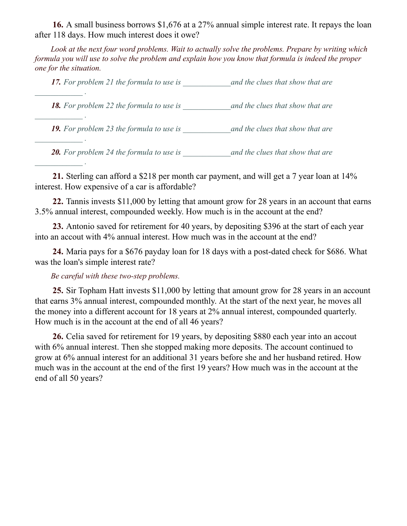**16.** A small business borrows \$1,676 at a 27% annual simple interest rate. It repays the loan after 118 days. How much interest does it owe?

*Look at the next four word problems. Wait to actually solve the problems. Prepare by writing which* formula you will use to solve the problem and explain how you know that formula is indeed the proper *one for the situation.*

*17. For problem 21 the formula to use is \_\_\_\_\_\_\_\_\_\_\_\_and the clues that show that are*

*18. For problem 22 the formula to use is \_\_\_\_\_\_\_\_\_\_\_\_and the clues that show that are*

*19. For problem 23 the formula to use is \_\_\_\_\_\_\_\_\_\_\_\_and the clues that show that are*

*20. For problem 24 the formula to use is \_\_\_\_\_\_\_\_\_\_\_\_and the clues that show that are*

**21.** Sterling can afford a \$218 per month car payment, and will get a 7 year loan at 14% interest. How expensive of a car is affordable?

**22.** Tannis invests \$11,000 by letting that amount grow for 28 years in an account that earns 3.5% annual interest, compounded weekly. How much is in the account at the end?

**23.** Antonio saved for retirement for 40 years, by depositing \$396 at the start of each year into an accout with 4% annual interest. How much was in the account at the end?

**24.** Maria pays for a \$676 payday loan for 18 days with a post-dated check for \$686. What was the loan's simple interest rate?

#### *Be careful with these two-step problems.*

*\_\_\_\_\_\_\_\_\_\_\_\_ .*

*\_\_\_\_\_\_\_\_\_\_\_\_ .*

*\_\_\_\_\_\_\_\_\_\_\_\_ .*

*\_\_\_\_\_\_\_\_\_\_\_\_ .*

**25.** Sir Topham Hatt invests \$11,000 by letting that amount grow for 28 years in an account that earns 3% annual interest, compounded monthly. At the start of the next year, he moves all the money into a different account for 18 years at 2% annual interest, compounded quarterly. How much is in the account at the end of all 46 years?

**26.** Celia saved for retirement for 19 years, by depositing \$880 each year into an accout with 6% annual interest. Then she stopped making more deposits. The account continued to grow at 6% annual interest for an additional 31 years before she and her husband retired. How much was in the account at the end of the first 19 years? How much was in the account at the end of all 50 years?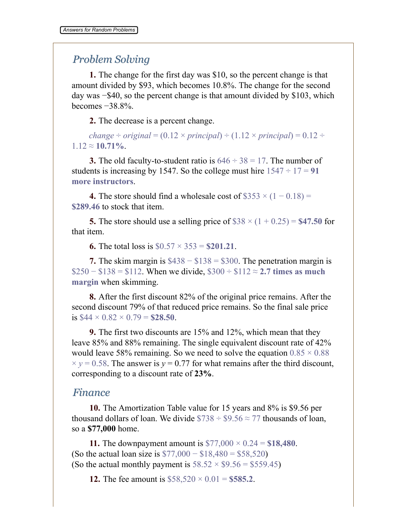## *Problem Solving*

**1.** The change for the first day was \$10, so the percent change is that amount divided by \$93, which becomes 10.8%. The change for the second day was −\$40, so the percent change is that amount divided by \$103, which becomes −38.8%.

**2.** The decrease is a percent change.

*change*  $\div$  *original* = (0.12  $\times$  *principal*)  $\div$  (1.12  $\times$  *principal*) = 0.12  $\div$  $1.12 \approx 10.71\%$ .

**3.** The old faculty-to-student ratio is  $646 \div 38 = 17$ . The number of students is increasing by 1547. So the college must hire  $1547 \div 17 = 91$ **more instructors**.

**4.** The store should find a wholesale cost of  $$353 \times (1 - 0.18) =$ **\$289.46** to stock that item.

**5.** The store should use a selling price of  $$38 \times (1 + 0.25) = $47.50$  for that item.

**6.** The total loss is  $$0.57 \times 353 = $201.21$ .

**7.** The skim margin is \$438 − \$138 = \$300. The penetration margin is \$250 − \$138 = \$112. When we divide, \$300 ÷ \$112 ≈ **2.7 times as much margin** when skimming.

**8.** After the first discount 82% of the original price remains. After the second discount 79% of that reduced price remains. So the final sale price is  $$44 \times 0.82 \times 0.79 = $28.50$ .

**9.** The first two discounts are 15% and 12%, which mean that they leave 85% and 88% remaining. The single equivalent discount rate of 42% would leave 58% remaining. So we need to solve the equation  $0.85 \times 0.88$  $\times y = 0.58$ . The answer is  $y = 0.77$  for what remains after the third discount, corresponding to a discount rate of **23%**.

### *Finance*

**10.** The Amortization Table value for 15 years and 8% is \$9.56 per thousand dollars of loan. We divide  $$738 \div $9.56 \approx 77$  thousands of loan, so a **\$77,000** home.

**11.** The downpayment amount is \$77,000 × 0.24 = **\$18,480**. (So the actual loan size is  $$77,000 - $18,480 = $58,520$ ) (So the actual monthly payment is  $58.52 \times $9.56 = $559.45$ )

**12.** The fee amount is  $$58,520 \times 0.01 = $585.2$ .